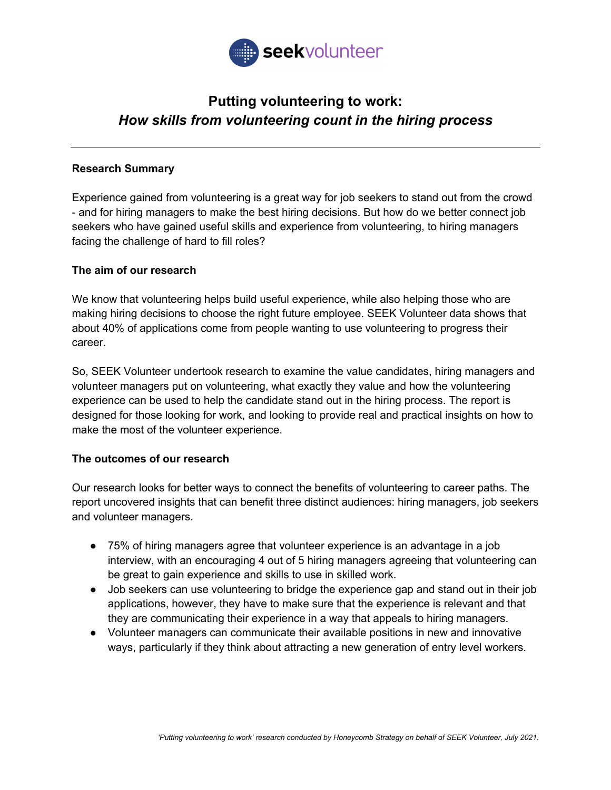

# **Putting volunteering to work:** *How skills from volunteering count in the hiring process*

#### **Research Summary**

Experience gained from volunteering is a great way for job seekers to stand out from the crowd - and for hiring managers to make the best hiring decisions. But how do we better connect job seekers who have gained useful skills and experience from volunteering, to hiring managers facing the challenge of hard to fill roles?

#### **The aim of our research**

We know that volunteering helps build useful experience, while also helping those who are making hiring decisions to choose the right future employee. SEEK Volunteer data shows that about 40% of applications come from people wanting to use volunteering to progress their career.

So, SEEK Volunteer undertook research to examine the value candidates, hiring managers and volunteer managers put on volunteering, what exactly they value and how the volunteering experience can be used to help the candidate stand out in the hiring process. The report is designed for those looking for work, and looking to provide real and practical insights on how to make the most of the volunteer experience.

## **The outcomes of our research**

Our research looks for better ways to connect the benefits of volunteering to career paths. The report uncovered insights that can benefit three distinct audiences: hiring managers, job seekers and volunteer managers.

- 75% of hiring managers agree that volunteer experience is an advantage in a job interview, with an encouraging 4 out of 5 hiring managers agreeing that volunteering can be great to gain experience and skills to use in skilled work.
- Job seekers can use volunteering to bridge the experience gap and stand out in their job applications, however, they have to make sure that the experience is relevant and that they are communicating their experience in a way that appeals to hiring managers.
- Volunteer managers can communicate their available positions in new and innovative ways, particularly if they think about attracting a new generation of entry level workers.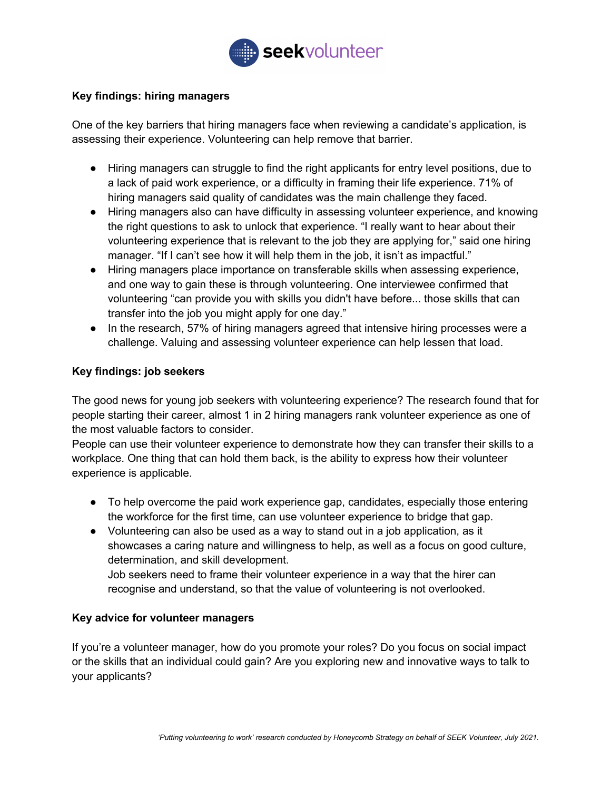

# **Key findings: hiring managers**

One of the key barriers that hiring managers face when reviewing a candidate's application, is assessing their experience. Volunteering can help remove that barrier.

- Hiring managers can struggle to find the right applicants for entry level positions, due to a lack of paid work experience, or a difficulty in framing their life experience. 71% of hiring managers said quality of candidates was the main challenge they faced.
- Hiring managers also can have difficulty in assessing volunteer experience, and knowing the right questions to ask to unlock that experience. "I really want to hear about their volunteering experience that is relevant to the job they are applying for," said one hiring manager. "If I can't see how it will help them in the job, it isn't as impactful."
- Hiring managers place importance on transferable skills when assessing experience, and one way to gain these is through volunteering. One interviewee confirmed that volunteering "can provide you with skills you didn't have before... those skills that can transfer into the job you might apply for one day."
- In the research, 57% of hiring managers agreed that intensive hiring processes were a challenge. Valuing and assessing volunteer experience can help lessen that load.

# **Key findings: job seekers**

The good news for young job seekers with volunteering experience? The research found that for people starting their career, almost 1 in 2 hiring managers rank volunteer experience as one of the most valuable factors to consider.

People can use their volunteer experience to demonstrate how they can transfer their skills to a workplace. One thing that can hold them back, is the ability to express how their volunteer experience is applicable.

- To help overcome the paid work experience gap, candidates, especially those entering the workforce for the first time, can use volunteer experience to bridge that gap.
- Volunteering can also be used as a way to stand out in a job application, as it showcases a caring nature and willingness to help, as well as a focus on good culture, determination, and skill development. Job seekers need to frame their volunteer experience in a way that the hirer can recognise and understand, so that the value of volunteering is not overlooked.

## **Key advice for volunteer managers**

If you're a volunteer manager, how do you promote your roles? Do you focus on social impact or the skills that an individual could gain? Are you exploring new and innovative ways to talk to your applicants?